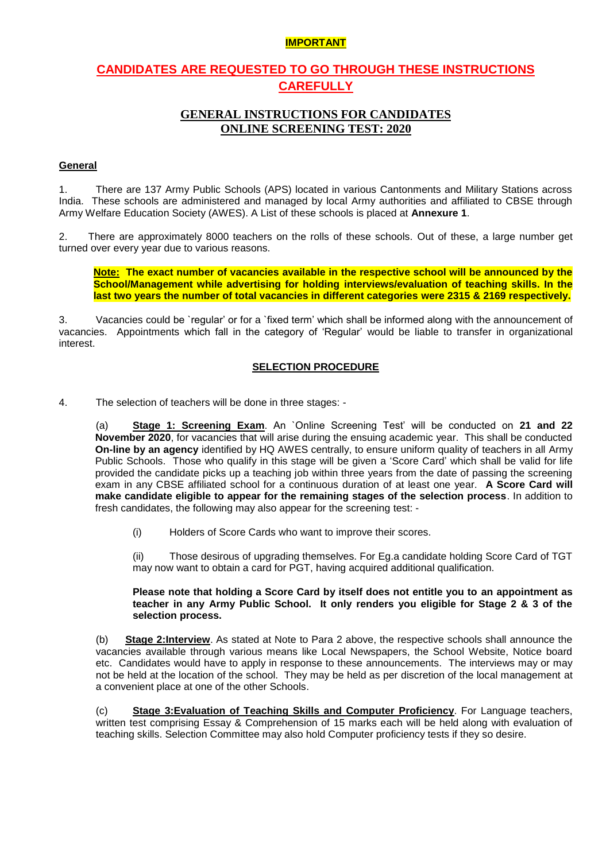#### **IMPORTANT**

# **CANDIDATES ARE REQUESTED TO GO THROUGH THESE INSTRUCTIONS CAREFULLY**

### **GENERAL INSTRUCTIONS FOR CANDIDATES ONLINE SCREENING TEST: 2020**

#### **General**

1. There are 137 Army Public Schools (APS) located in various Cantonments and Military Stations across India. These schools are administered and managed by local Army authorities and affiliated to CBSE through Army Welfare Education Society (AWES). A List of these schools is placed at **Annexure 1**.

2. There are approximately 8000 teachers on the rolls of these schools. Out of these, a large number get turned over every year due to various reasons.

**Note: The exact number of vacancies available in the respective school will be announced by the School/Management while advertising for holding interviews/evaluation of teaching skills. In the last two years the number of total vacancies in different categories were 2315 & 2169 respectively.**

3. Vacancies could be `regular' or for a `fixed term' which shall be informed along with the announcement of vacancies. Appointments which fall in the category of 'Regular' would be liable to transfer in organizational interest.

#### **SELECTION PROCEDURE**

4. The selection of teachers will be done in three stages: -

(a) **Stage 1: Screening Exam**. An `Online Screening Test' will be conducted on **21 and 22 November 2020**, for vacancies that will arise during the ensuing academic year. This shall be conducted **On-line by an agency** identified by HQ AWES centrally, to ensure uniform quality of teachers in all Army Public Schools. Those who qualify in this stage will be given a 'Score Card' which shall be valid for life provided the candidate picks up a teaching job within three years from the date of passing the screening exam in any CBSE affiliated school for a continuous duration of at least one year. **A Score Card will make candidate eligible to appear for the remaining stages of the selection process**. In addition to fresh candidates, the following may also appear for the screening test: -

(i) Holders of Score Cards who want to improve their scores.

(ii) Those desirous of upgrading themselves. For Eg.a candidate holding Score Card of TGT may now want to obtain a card for PGT, having acquired additional qualification.

#### **Please note that holding a Score Card by itself does not entitle you to an appointment as teacher in any Army Public School. It only renders you eligible for Stage 2 & 3 of the selection process.**

(b) **Stage 2:Interview**. As stated at Note to Para 2 above, the respective schools shall announce the vacancies available through various means like Local Newspapers, the School Website, Notice board etc. Candidates would have to apply in response to these announcements. The interviews may or may not be held at the location of the school. They may be held as per discretion of the local management at a convenient place at one of the other Schools.

(c) **Stage 3:Evaluation of Teaching Skills and Computer Proficiency**. For Language teachers, written test comprising Essay & Comprehension of 15 marks each will be held along with evaluation of teaching skills. Selection Committee may also hold Computer proficiency tests if they so desire.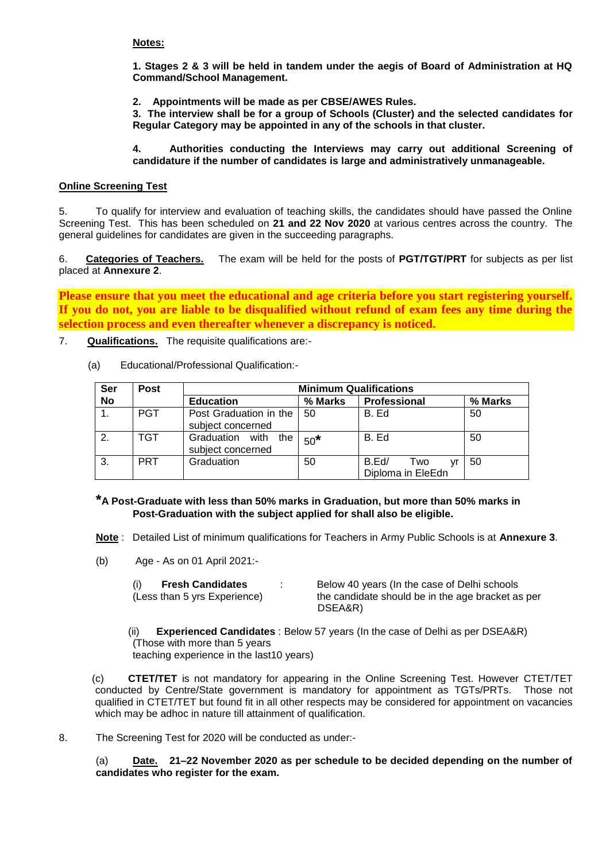#### **Notes:**

**1. Stages 2 & 3 will be held in tandem under the aegis of Board of Administration at HQ Command/School Management.**

**2. Appointments will be made as per CBSE/AWES Rules.**

**3. The interview shall be for a group of Schools (Cluster) and the selected candidates for Regular Category may be appointed in any of the schools in that cluster.**

**4. Authorities conducting the Interviews may carry out additional Screening of candidature if the number of candidates is large and administratively unmanageable.**

#### **Online Screening Test**

5. To qualify for interview and evaluation of teaching skills, the candidates should have passed the Online Screening Test. This has been scheduled on **21 and 22 Nov 2020** at various centres across the country. The general guidelines for candidates are given in the succeeding paragraphs.

6. **Categories of Teachers.** The exam will be held for the posts of **PGT/TGT/PRT** for subjects as per list placed at **Annexure 2**.

**Please ensure that you meet the educational and age criteria before you start registering yourself. If you do not, you are liable to be disqualified without refund of exam fees any time during the selection process and even thereafter whenever a discrepancy is noticed.**

7. **Qualifications.** The requisite qualifications are:-

| Ser       | <b>Post</b> | <b>Minimum Qualifications</b>                    |         |                                   |         |  |
|-----------|-------------|--------------------------------------------------|---------|-----------------------------------|---------|--|
| <b>No</b> |             | <b>Education</b>                                 | % Marks | Professional                      | % Marks |  |
|           | <b>PGT</b>  | Post Graduation in the   50<br>subject concerned |         | B. Ed                             | 50      |  |
| 2.        | TGT         | Graduation with the<br>subject concerned         | $50^*$  | B. Ed                             | 50      |  |
| 3.        | <b>PRT</b>  | Graduation                                       | 50      | B.Ed/<br>Two<br>Diploma in EleEdn | 50      |  |

(a) Educational/Professional Qualification:-

**\*A Post-Graduate with less than 50% marks in Graduation, but more than 50% marks in Post-Graduation with the subject applied for shall also be eligible.** 

**Note** : Detailed List of minimum qualifications for Teachers in Army Public Schools is at **Annexure 3**.

(b) Age - As on 01 April 2021:-

| <b>Fresh Candidates</b>      | <b>Contract Contract</b> | Below 40 years (In the case of Delhi schools      |
|------------------------------|--------------------------|---------------------------------------------------|
| (Less than 5 yrs Experience) |                          | the candidate should be in the age bracket as per |
|                              |                          | DSEA&R)                                           |

(ii) **Experienced Candidates** : Below 57 years (In the case of Delhi as per DSEA&R) (Those with more than 5 years teaching experience in the last10 years)

(c) **CTET/TET** is not mandatory for appearing in the Online Screening Test. However CTET/TET conducted by Centre/State government is mandatory for appointment as TGTs/PRTs. Those not qualified in CTET/TET but found fit in all other respects may be considered for appointment on vacancies which may be adhoc in nature till attainment of qualification.

8. The Screening Test for 2020 will be conducted as under:-

(a) **Date. 21–22 November 2020 as per schedule to be decided depending on the number of candidates who register for the exam.**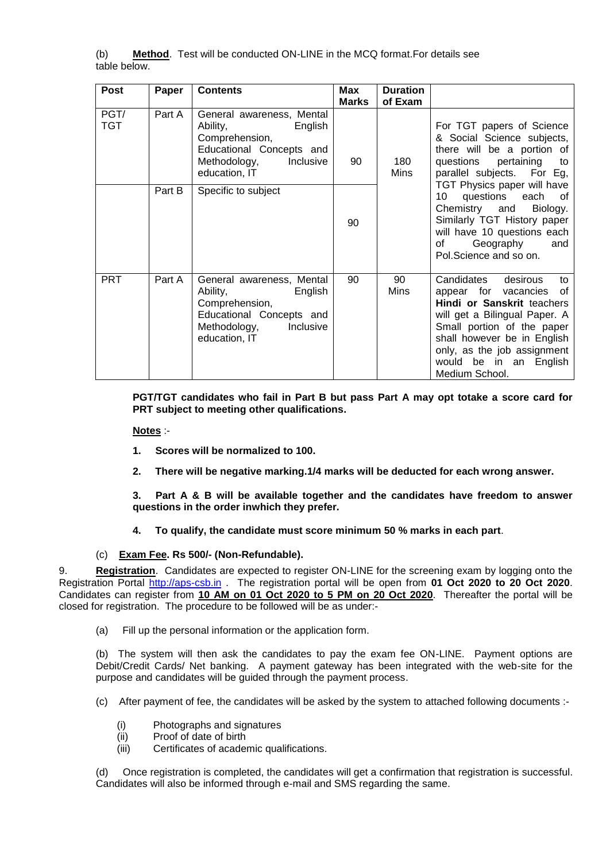(b) **Method**. Test will be conducted ON-LINE in the MCQ format.For details see table below.

| <b>Post</b>        | Paper  | <b>Contents</b>                                                                                                                              | Max          | <b>Duration</b> |                                                                                                                                                                                                                                                                   |
|--------------------|--------|----------------------------------------------------------------------------------------------------------------------------------------------|--------------|-----------------|-------------------------------------------------------------------------------------------------------------------------------------------------------------------------------------------------------------------------------------------------------------------|
|                    |        |                                                                                                                                              | <b>Marks</b> | of Exam         |                                                                                                                                                                                                                                                                   |
| PGT/<br><b>TGT</b> | Part A | General awareness, Mental<br>English<br>Ability,<br>Comprehension,<br>Educational Concepts and<br>Methodology,<br>Inclusive<br>education, IT | 90           | 180<br>Mins     | For TGT papers of Science<br>& Social Science subjects,<br>there will be a portion of<br>questions<br>pertaining<br>to<br>parallel subjects. For Eg,                                                                                                              |
|                    | Part B | Specific to subject                                                                                                                          | 90           |                 | TGT Physics paper will have<br>10 questions each of<br>Chemistry and<br>Biology.<br>Similarly TGT History paper<br>will have 10 questions each<br>of<br>Geography<br>and<br>Pol.Science and so on.                                                                |
| <b>PRT</b>         | Part A | General awareness, Mental<br>Ability,<br>English<br>Comprehension,<br>Educational Concepts and<br>Methodology,<br>Inclusive<br>education, IT | 90           | 90<br>Mins      | Candidates<br>desirous<br>to<br>appear for vacancies of<br>Hindi or Sanskrit teachers<br>will get a Bilingual Paper. A<br>Small portion of the paper<br>shall however be in English<br>only, as the job assignment<br>would be in an<br>English<br>Medium School. |

**PGT/TGT candidates who fail in Part B but pass Part A may opt totake a score card for PRT subject to meeting other qualifications.**

**Notes** :-

- **1. Scores will be normalized to 100.**
- **2. There will be negative marking.1/4 marks will be deducted for each wrong answer.**

**3. Part A & B will be available together and the candidates have freedom to answer questions in the order inwhich they prefer.**

**4. To qualify, the candidate must score minimum 50 % marks in each part**.

#### (c) **Exam Fee. Rs 500/- (Non-Refundable).**

9. **Registration**. Candidates are expected to register ON-LINE for the screening exam by logging onto the Registration Portal [http://aps-csb.in](http://aps-csb.in/) . The registration portal will be open from **01 Oct 2020 to 20 Oct 2020**. Candidates can register from **10 AM on 01 Oct 2020 to 5 PM on 20 Oct 2020**. Thereafter the portal will be closed for registration. The procedure to be followed will be as under:-

(a) Fill up the personal information or the application form.

(b) The system will then ask the candidates to pay the exam fee ON-LINE. Payment options are Debit/Credit Cards/ Net banking. A payment gateway has been integrated with the web-site for the purpose and candidates will be guided through the payment process.

- (c) After payment of fee, the candidates will be asked by the system to attached following documents :-
	- (i) Photographs and signatures
	- (ii) Proof of date of birth
	- (iii) Certificates of academic qualifications.

(d) Once registration is completed, the candidates will get a confirmation that registration is successful. Candidates will also be informed through e-mail and SMS regarding the same.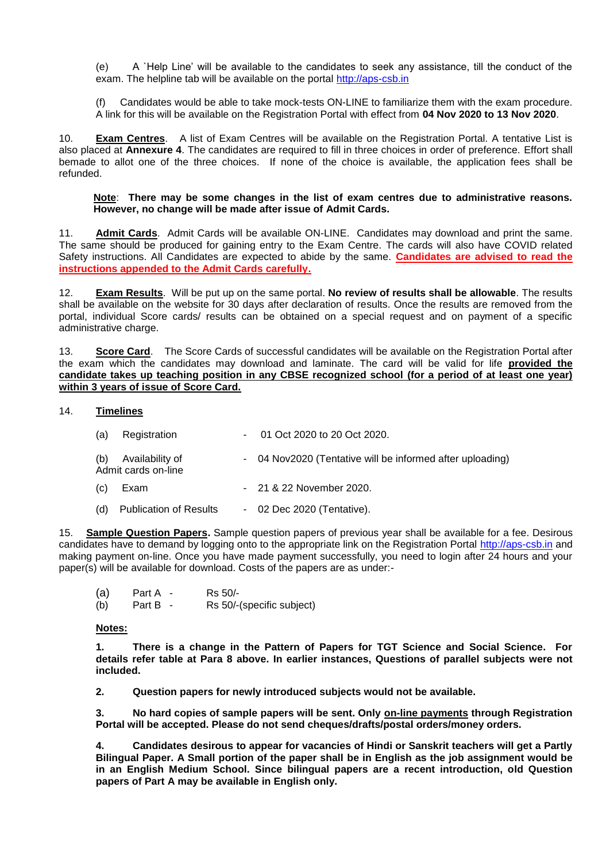(e) A `Help Line' will be available to the candidates to seek any assistance, till the conduct of the exam. The helpline tab will be available on the portal [http://aps-csb.in](http://aps-csb.in/)

(f) Candidates would be able to take mock-tests ON-LINE to familiarize them with the exam procedure. A link for this will be available on the Registration Portal with effect from **04 Nov 2020 to 13 Nov 2020**.

10. **Exam Centres**. A list of Exam Centres will be available on the Registration Portal. A tentative List is also placed at **Annexure 4**. The candidates are required to fill in three choices in order of preference. Effort shall bemade to allot one of the three choices. If none of the choice is available, the application fees shall be refunded.

#### **Note**: **There may be some changes in the list of exam centres due to administrative reasons. However, no change will be made after issue of Admit Cards.**

11. **Admit Cards**. Admit Cards will be available ON-LINE. Candidates may download and print the same. The same should be produced for gaining entry to the Exam Centre. The cards will also have COVID related Safety instructions. All Candidates are expected to abide by the same. **Candidates are advised to read the instructions appended to the Admit Cards carefully.**

12. **Exam Results**. Will be put up on the same portal. **No review of results shall be allowable**. The results shall be available on the website for 30 days after declaration of results. Once the results are removed from the portal, individual Score cards/ results can be obtained on a special request and on payment of a specific administrative charge.

13. **Score Card**. The Score Cards of successful candidates will be available on the Registration Portal after the exam which the candidates may download and laminate. The card will be valid for life **provided the candidate takes up teaching position in any CBSE recognized school (for a period of at least one year) within 3 years of issue of Score Card.**

#### 14. **Timelines**

| (a) | Registration                               | $-$ 01 Oct 2020 to 20 Oct 2020.                           |  |
|-----|--------------------------------------------|-----------------------------------------------------------|--|
|     | (b) Availability of<br>Admit cards on-line | - 04 Nov2020 (Tentative will be informed after uploading) |  |
| (c) | Exam                                       | - 21 & 22 November 2020.                                  |  |
| (d) | <b>Publication of Results</b>              | $-$ 02 Dec 2020 (Tentative).                              |  |

15. **Sample Question Papers.** Sample question papers of previous year shall be available for a fee. Desirous candidates have to demand by logging onto to the appropriate link on the Registration Portal [http://aps-csb.in](http://aps-csb.in/) and making payment on-line. Once you have made payment successfully, you need to login after 24 hours and your paper(s) will be available for download. Costs of the papers are as under:-

 $(a)$  Part A - Rs 50/-

(b) Part B - Rs 50/-(specific subject)

#### **Notes:**

**1. There is a change in the Pattern of Papers for TGT Science and Social Science. For details refer table at Para 8 above. In earlier instances, Questions of parallel subjects were not included.** 

**2. Question papers for newly introduced subjects would not be available.**

**3. No hard copies of sample papers will be sent. Only on-line payments through Registration Portal will be accepted. Please do not send cheques/drafts/postal orders/money orders.**

**4. Candidates desirous to appear for vacancies of Hindi or Sanskrit teachers will get a Partly Bilingual Paper. A Small portion of the paper shall be in English as the job assignment would be in an English Medium School. Since bilingual papers are a recent introduction, old Question papers of Part A may be available in English only.**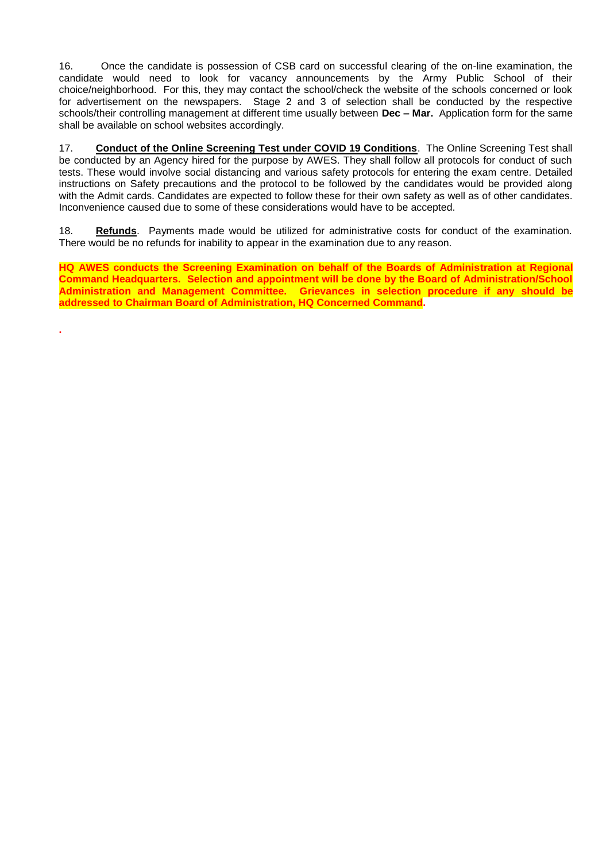16. Once the candidate is possession of CSB card on successful clearing of the on-line examination, the candidate would need to look for vacancy announcements by the Army Public School of their choice/neighborhood. For this, they may contact the school/check the website of the schools concerned or look for advertisement on the newspapers. Stage 2 and 3 of selection shall be conducted by the respective schools/their controlling management at different time usually between **Dec – Mar.** Application form for the same shall be available on school websites accordingly.

17. **Conduct of the Online Screening Test under COVID 19 Conditions**. The Online Screening Test shall be conducted by an Agency hired for the purpose by AWES. They shall follow all protocols for conduct of such tests. These would involve social distancing and various safety protocols for entering the exam centre. Detailed instructions on Safety precautions and the protocol to be followed by the candidates would be provided along with the Admit cards. Candidates are expected to follow these for their own safety as well as of other candidates. Inconvenience caused due to some of these considerations would have to be accepted.

18. **Refunds**. Payments made would be utilized for administrative costs for conduct of the examination. There would be no refunds for inability to appear in the examination due to any reason.

**HQ AWES conducts the Screening Examination on behalf of the Boards of Administration at Regional Command Headquarters. Selection and appointment will be done by the Board of Administration/School Administration and Management Committee. Grievances in selection procedure if any should be addressed to Chairman Board of Administration, HQ Concerned Command.**

**.**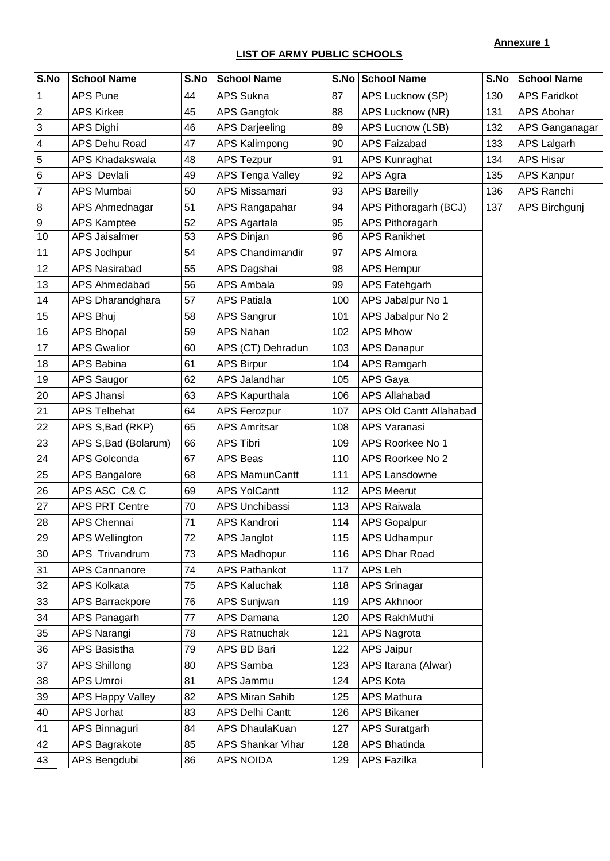### **LIST OF ARMY PUBLIC SCHOOLS**

### **Annexure 1**

| S.No           | <b>School Name</b>      | S.No | <b>School Name</b>       |     | S.No   School Name<br>S.No |     | <b>School Name</b>  |
|----------------|-------------------------|------|--------------------------|-----|----------------------------|-----|---------------------|
| $\mathbf{1}$   | <b>APS Pune</b>         | 44   | APS Sukna                | 87  | APS Lucknow (SP)           | 130 | <b>APS Faridkot</b> |
| $\overline{2}$ | <b>APS Kirkee</b>       | 45   | <b>APS Gangtok</b>       | 88  | 131<br>APS Lucknow (NR)    |     | APS Abohar          |
| $\mathbf{3}$   | APS Dighi               | 46   | <b>APS Darjeeling</b>    | 89  | APS Lucnow (LSB)           | 132 | APS Ganganagar      |
| $\overline{4}$ | APS Dehu Road           | 47   | <b>APS Kalimpong</b>     | 90  | <b>APS Faizabad</b>        | 133 | <b>APS Lalgarh</b>  |
| $\sqrt{5}$     | <b>APS Khadakswala</b>  | 48   | <b>APS Tezpur</b>        | 91  | <b>APS Kunraghat</b>       | 134 | <b>APS Hisar</b>    |
| 6              | APS Devlali             | 49   | <b>APS Tenga Valley</b>  | 92  | APS Agra                   | 135 | <b>APS Kanpur</b>   |
| $\overline{7}$ | APS Mumbai              | 50   | APS Missamari            | 93  | <b>APS Bareilly</b>        | 136 | APS Ranchi          |
| 8              | APS Ahmednagar          | 51   | APS Rangapahar           | 94  | APS Pithoragarh (BCJ)      | 137 | APS Birchgunj       |
| 9              | <b>APS Kamptee</b>      | 52   | APS Agartala             | 95  | APS Pithoragarh            |     |                     |
| 10             | APS Jaisalmer           | 53   | <b>APS Dinjan</b>        | 96  | <b>APS Ranikhet</b>        |     |                     |
| 11             | APS Jodhpur             | 54   | <b>APS Chandimandir</b>  | 97  | APS Almora                 |     |                     |
| 12             | <b>APS Nasirabad</b>    | 55   | APS Dagshai              | 98  | <b>APS Hempur</b>          |     |                     |
| 13             | APS Ahmedabad           | 56   | <b>APS Ambala</b>        | 99  | <b>APS Fatehgarh</b>       |     |                     |
| 14             | APS Dharandghara        | 57   | <b>APS Patiala</b>       | 100 | APS Jabalpur No 1          |     |                     |
| 15             | APS Bhuj                | 58   | APS Sangrur              | 101 | APS Jabalpur No 2          |     |                     |
| 16             | <b>APS Bhopal</b>       | 59   | <b>APS Nahan</b>         | 102 | <b>APS Mhow</b>            |     |                     |
| 17             | <b>APS Gwalior</b>      | 60   | APS (CT) Dehradun        | 103 | APS Danapur                |     |                     |
| 18             | APS Babina              | 61   | <b>APS Birpur</b>        | 104 | APS Ramgarh                |     |                     |
| 19             | APS Saugor              | 62   | APS Jalandhar            | 105 | APS Gaya                   |     |                     |
| 20             | APS Jhansi              | 63   | <b>APS Kapurthala</b>    | 106 | APS Allahabad              |     |                     |
| 21             | <b>APS Telbehat</b>     | 64   | APS Ferozpur             | 107 | APS Old Cantt Allahabad    |     |                     |
| 22             | APS S, Bad (RKP)        | 65   | <b>APS Amritsar</b>      | 108 | APS Varanasi               |     |                     |
| 23             | APS S, Bad (Bolarum)    | 66   | <b>APS Tibri</b>         | 109 | APS Roorkee No 1           |     |                     |
| 24             | APS Golconda            | 67   | APS Beas                 | 110 | APS Roorkee No 2           |     |                     |
| 25             | APS Bangalore           | 68   | <b>APS MamunCantt</b>    | 111 | <b>APS Lansdowne</b>       |     |                     |
| 26             | APS ASC C& C            | 69   | <b>APS YolCantt</b>      | 112 | <b>APS Meerut</b>          |     |                     |
| 27             | <b>APS PRT Centre</b>   | 70   | APS Unchibassi           | 113 | <b>APS Raiwala</b>         |     |                     |
| 28             | <b>APS Chennai</b>      | 71   | APS Kandrori             | 114 | <b>APS Gopalpur</b>        |     |                     |
| 29             | <b>APS Wellington</b>   | 72   | APS Janglot              | 115 | <b>APS Udhampur</b>        |     |                     |
| 30             | APS Trivandrum          | 73   | <b>APS Madhopur</b>      | 116 | APS Dhar Road              |     |                     |
| 31             | <b>APS Cannanore</b>    | 74   | <b>APS Pathankot</b>     | 117 | APS Leh                    |     |                     |
| 32             | <b>APS Kolkata</b>      | 75   | <b>APS Kaluchak</b>      | 118 | <b>APS Srinagar</b>        |     |                     |
| 33             | APS Barrackpore         | 76   | APS Sunjwan              | 119 | <b>APS Akhnoor</b>         |     |                     |
| 34             | APS Panagarh            | 77   | APS Damana               | 120 | APS RakhMuthi              |     |                     |
| 35             | APS Narangi             | 78   | <b>APS Ratnuchak</b>     | 121 | <b>APS Nagrota</b>         |     |                     |
| 36             | APS Basistha            | 79   | APS BD Bari              | 122 | APS Jaipur                 |     |                     |
| 37             | APS Shillong            | 80   | APS Samba                | 123 | APS Itarana (Alwar)        |     |                     |
| 38             | APS Umroi               | 81   | APS Jammu                | 124 | APS Kota                   |     |                     |
| 39             | <b>APS Happy Valley</b> | 82   | <b>APS Miran Sahib</b>   | 125 | <b>APS Mathura</b>         |     |                     |
| 40             | APS Jorhat              | 83   | <b>APS Delhi Cantt</b>   | 126 | APS Bikaner                |     |                     |
| 41             | APS Binnaguri           | 84   | APS DhaulaKuan           | 127 | <b>APS Suratgarh</b>       |     |                     |
| 42             | APS Bagrakote           | 85   | <b>APS Shankar Vihar</b> | 128 | APS Bhatinda               |     |                     |
| 43             | APS Bengdubi            | 86   | <b>APS NOIDA</b>         | 129 | APS Fazilka                |     |                     |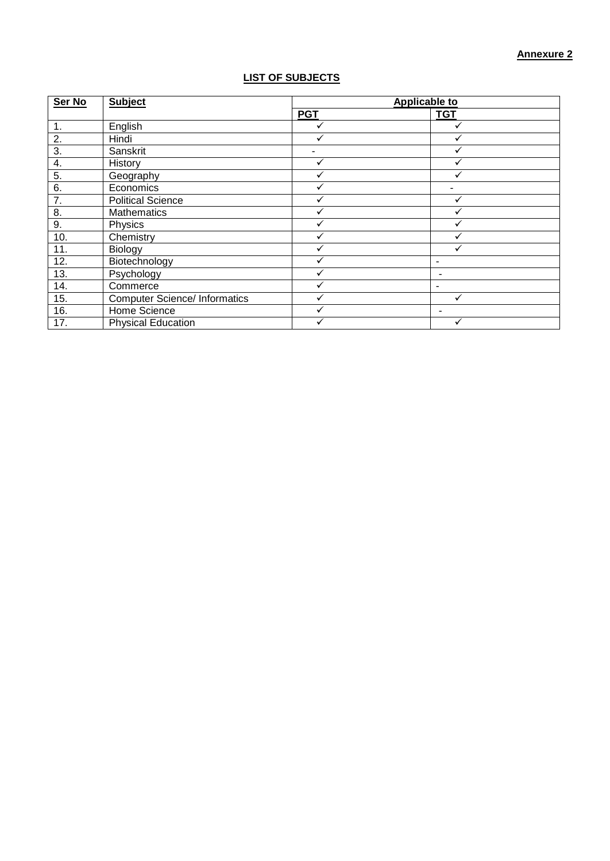# **LIST OF SUBJECTS**

| Ser No | <b>Subject</b>                      | <b>Applicable to</b> |            |  |  |
|--------|-------------------------------------|----------------------|------------|--|--|
|        |                                     | <b>PGT</b>           | <b>TGT</b> |  |  |
| 1.     | English                             | ✓                    | ✓          |  |  |
| 2.     | Hindi                               | ✓                    | ✓          |  |  |
| 3.     | Sanskrit                            |                      | ✓          |  |  |
| 4.     | History                             |                      | ✓          |  |  |
| 5.     | Geography                           |                      | ✓          |  |  |
| 6.     | Economics                           |                      |            |  |  |
| 7.     | <b>Political Science</b>            |                      | ✓          |  |  |
| 8.     | <b>Mathematics</b>                  |                      |            |  |  |
| 9.     | Physics                             |                      |            |  |  |
| 10.    | Chemistry                           |                      |            |  |  |
| 11.    | Biology                             |                      | ✓          |  |  |
| 12.    | Biotechnology                       |                      |            |  |  |
| 13.    | Psychology                          |                      |            |  |  |
| 14.    | Commerce                            |                      |            |  |  |
| 15.    | <b>Computer Science/Informatics</b> |                      | ✓          |  |  |
| 16.    | Home Science                        |                      |            |  |  |
| 17.    | <b>Physical Education</b>           |                      |            |  |  |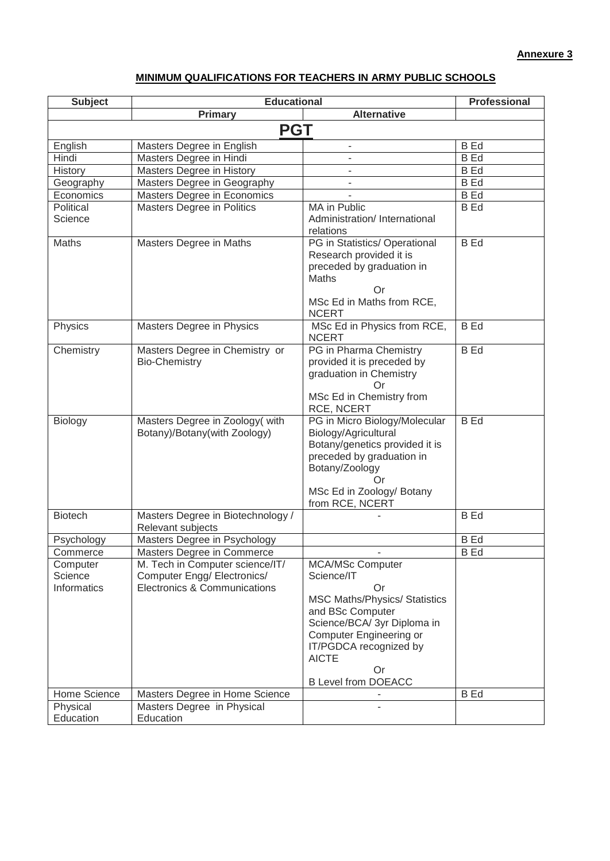# **MINIMUM QUALIFICATIONS FOR TEACHERS IN ARMY PUBLIC SCHOOLS**

| <b>Subject</b>                     | <b>Educational</b>                                                                             |                                                                                                                                                                                                                                                        | Professional |
|------------------------------------|------------------------------------------------------------------------------------------------|--------------------------------------------------------------------------------------------------------------------------------------------------------------------------------------------------------------------------------------------------------|--------------|
|                                    | <b>Primary</b>                                                                                 | <b>Alternative</b>                                                                                                                                                                                                                                     |              |
|                                    | <b>PGT</b>                                                                                     |                                                                                                                                                                                                                                                        |              |
| English                            | Masters Degree in English                                                                      |                                                                                                                                                                                                                                                        | <b>B</b> Ed  |
| Hindi                              | Masters Degree in Hindi                                                                        |                                                                                                                                                                                                                                                        | <b>B</b> Ed  |
| History                            | Masters Degree in History                                                                      |                                                                                                                                                                                                                                                        | <b>B</b> Ed  |
| Geography                          | Masters Degree in Geography                                                                    |                                                                                                                                                                                                                                                        | <b>B</b> Ed  |
| Economics                          | Masters Degree in Economics                                                                    |                                                                                                                                                                                                                                                        | <b>B</b> Ed  |
| Political<br>Science               | Masters Degree in Politics                                                                     | MA in Public<br>Administration/ International<br>relations                                                                                                                                                                                             | <b>B</b> Ed  |
| Maths                              | Masters Degree in Maths                                                                        | PG in Statistics/ Operational<br>Research provided it is<br>preceded by graduation in<br>Maths<br>Or<br>MSc Ed in Maths from RCE,<br><b>NCERT</b>                                                                                                      | <b>B</b> Ed  |
| Physics                            | Masters Degree in Physics                                                                      | MSc Ed in Physics from RCE,<br><b>NCERT</b>                                                                                                                                                                                                            | <b>B</b> Ed  |
| Chemistry                          | Masters Degree in Chemistry or<br><b>Bio-Chemistry</b>                                         | PG in Pharma Chemistry<br>provided it is preceded by<br>graduation in Chemistry<br><b>Or</b><br>MSc Ed in Chemistry from<br>RCE, NCERT                                                                                                                 | <b>B</b> Ed  |
| Biology                            | Masters Degree in Zoology(with<br>Botany)/Botany(with Zoology)                                 | PG in Micro Biology/Molecular<br>Biology/Agricultural<br>Botany/genetics provided it is<br>preceded by graduation in<br>Botany/Zoology<br>Or<br>MSc Ed in Zoology/ Botany<br>from RCE, NCERT                                                           | <b>B</b> Ed  |
| <b>Biotech</b>                     | Masters Degree in Biotechnology /<br>Relevant subjects                                         |                                                                                                                                                                                                                                                        | <b>B</b> Ed  |
| Psychology                         | Masters Degree in Psychology                                                                   |                                                                                                                                                                                                                                                        | <b>B</b> Ed  |
| Commerce                           | Masters Degree in Commerce                                                                     |                                                                                                                                                                                                                                                        | <b>B</b> Ed  |
| Computer<br>Science<br>Informatics | M. Tech in Computer science/IT/<br>Computer Engg/ Electronics/<br>Electronics & Communications | <b>MCA/MSc Computer</b><br>Science/IT<br>Or<br><b>MSC Maths/Physics/ Statistics</b><br>and BSc Computer<br>Science/BCA/ 3yr Diploma in<br><b>Computer Engineering or</b><br>IT/PGDCA recognized by<br><b>AICTE</b><br>0r<br><b>B Level from DOEACC</b> |              |
| Home Science                       | Masters Degree in Home Science                                                                 |                                                                                                                                                                                                                                                        | <b>B</b> Ed  |
| Physical<br>Education              | Masters Degree in Physical<br>Education                                                        |                                                                                                                                                                                                                                                        |              |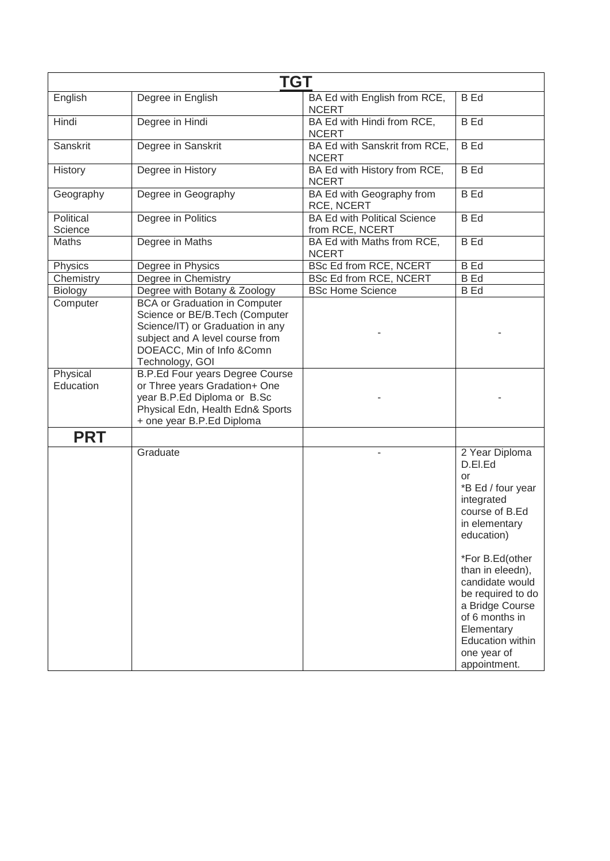| <b>TGT</b>            |                                                                                                                                                                                               |                                                        |                                                                                                                                                                                   |  |  |
|-----------------------|-----------------------------------------------------------------------------------------------------------------------------------------------------------------------------------------------|--------------------------------------------------------|-----------------------------------------------------------------------------------------------------------------------------------------------------------------------------------|--|--|
| English               | Degree in English                                                                                                                                                                             | BA Ed with English from RCE,<br><b>NCERT</b>           | <b>B</b> Ed                                                                                                                                                                       |  |  |
| Hindi                 | Degree in Hindi                                                                                                                                                                               | BA Ed with Hindi from RCE,<br><b>NCERT</b>             | <b>B</b> Ed                                                                                                                                                                       |  |  |
| Sanskrit              | Degree in Sanskrit                                                                                                                                                                            | BA Ed with Sanskrit from RCE,<br><b>NCERT</b>          | <b>B</b> Ed                                                                                                                                                                       |  |  |
| History               | Degree in History                                                                                                                                                                             | BA Ed with History from RCE,<br><b>NCERT</b>           | <b>B</b> Ed                                                                                                                                                                       |  |  |
| Geography             | Degree in Geography                                                                                                                                                                           | BA Ed with Geography from<br>RCE, NCERT                | <b>B</b> Ed                                                                                                                                                                       |  |  |
| Political<br>Science  | Degree in Politics                                                                                                                                                                            | <b>BA Ed with Political Science</b><br>from RCE, NCERT | <b>B</b> Ed                                                                                                                                                                       |  |  |
| Maths                 | Degree in Maths                                                                                                                                                                               | BA Ed with Maths from RCE,<br><b>NCERT</b>             | <b>B</b> Ed                                                                                                                                                                       |  |  |
| Physics               | Degree in Physics                                                                                                                                                                             | BSc Ed from RCE, NCERT                                 | <b>B</b> Ed                                                                                                                                                                       |  |  |
| Chemistry             | Degree in Chemistry                                                                                                                                                                           | BSc Ed from RCE, NCERT                                 | <b>B</b> Ed                                                                                                                                                                       |  |  |
| Biology               | Degree with Botany & Zoology                                                                                                                                                                  | <b>BSc Home Science</b>                                | <b>B</b> Ed                                                                                                                                                                       |  |  |
| Computer              | <b>BCA or Graduation in Computer</b><br>Science or BE/B.Tech (Computer<br>Science/IT) or Graduation in any<br>subject and A level course from<br>DOEACC, Min of Info &Comn<br>Technology, GOI |                                                        |                                                                                                                                                                                   |  |  |
| Physical<br>Education | B.P.Ed Four years Degree Course<br>or Three years Gradation+ One<br>year B.P.Ed Diploma or B.Sc<br>Physical Edn, Health Edn& Sports<br>+ one year B.P.Ed Diploma                              |                                                        |                                                                                                                                                                                   |  |  |
| <b>PRT</b>            |                                                                                                                                                                                               |                                                        |                                                                                                                                                                                   |  |  |
|                       | Graduate                                                                                                                                                                                      | ÷                                                      | 2 Year Diploma<br>D.El.Ed<br><b>or</b><br>*B Ed / four year<br>integrated<br>course of B.Ed<br>in elementary<br>education)                                                        |  |  |
|                       |                                                                                                                                                                                               |                                                        | *For B.Ed(other<br>than in eleedn),<br>candidate would<br>be required to do<br>a Bridge Course<br>of 6 months in<br>Elementary<br>Education within<br>one year of<br>appointment. |  |  |